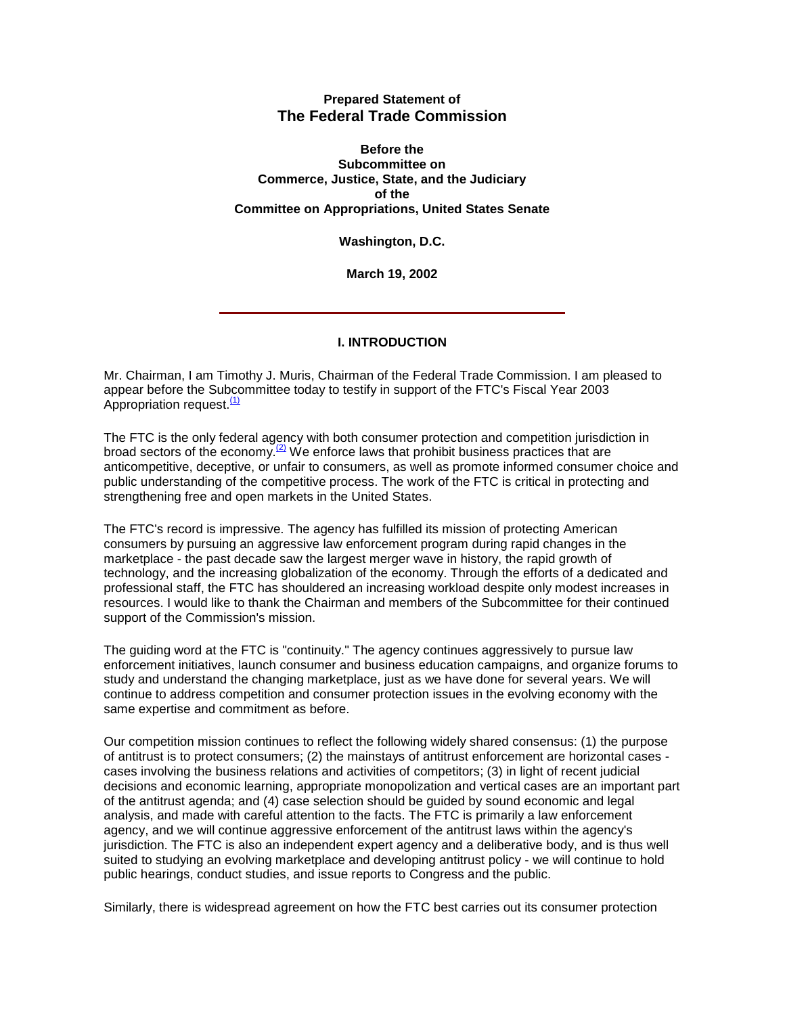# **Prepared Statement of The Federal Trade Commission**

**Before the Subcommittee on Commerce, Justice, State, and the Judiciary of the Committee on Appropriations, United States Senate**

**Washington, D.C.** 

**March 19, 2002**

# **I. INTRODUCTION**

Mr. Chairman, I am Timothy J. Muris, Chairman of the Federal Trade Commission. I am pleased to appear before the Subcommittee today to testify in support of the FTC's Fiscal Year 2003 Appropriation request.<sup>(1)</sup>

The FTC is the only federal agency with both consumer protection and competition jurisdiction in broad sectors of the economy.<sup>(2)</sup> We enforce laws that prohibit business practices that are anticompetitive, deceptive, or unfair to consumers, as well as promote informed consumer choice and public understanding of the competitive process. The work of the FTC is critical in protecting and strengthening free and open markets in the United States.

The FTC's record is impressive. The agency has fulfilled its mission of protecting American consumers by pursuing an aggressive law enforcement program during rapid changes in the marketplace - the past decade saw the largest merger wave in history, the rapid growth of technology, and the increasing globalization of the economy. Through the efforts of a dedicated and professional staff, the FTC has shouldered an increasing workload despite only modest increases in resources. I would like to thank the Chairman and members of the Subcommittee for their continued support of the Commission's mission.

The guiding word at the FTC is "continuity." The agency continues aggressively to pursue law enforcement initiatives, launch consumer and business education campaigns, and organize forums to study and understand the changing marketplace, just as we have done for several years. We will continue to address competition and consumer protection issues in the evolving economy with the same expertise and commitment as before.

Our competition mission continues to reflect the following widely shared consensus: (1) the purpose of antitrust is to protect consumers; (2) the mainstays of antitrust enforcement are horizontal cases cases involving the business relations and activities of competitors; (3) in light of recent judicial decisions and economic learning, appropriate monopolization and vertical cases are an important part of the antitrust agenda; and (4) case selection should be guided by sound economic and legal analysis, and made with careful attention to the facts. The FTC is primarily a law enforcement agency, and we will continue aggressive enforcement of the antitrust laws within the agency's jurisdiction. The FTC is also an independent expert agency and a deliberative body, and is thus well suited to studying an evolving marketplace and developing antitrust policy - we will continue to hold public hearings, conduct studies, and issue reports to Congress and the public.

Similarly, there is widespread agreement on how the FTC best carries out its consumer protection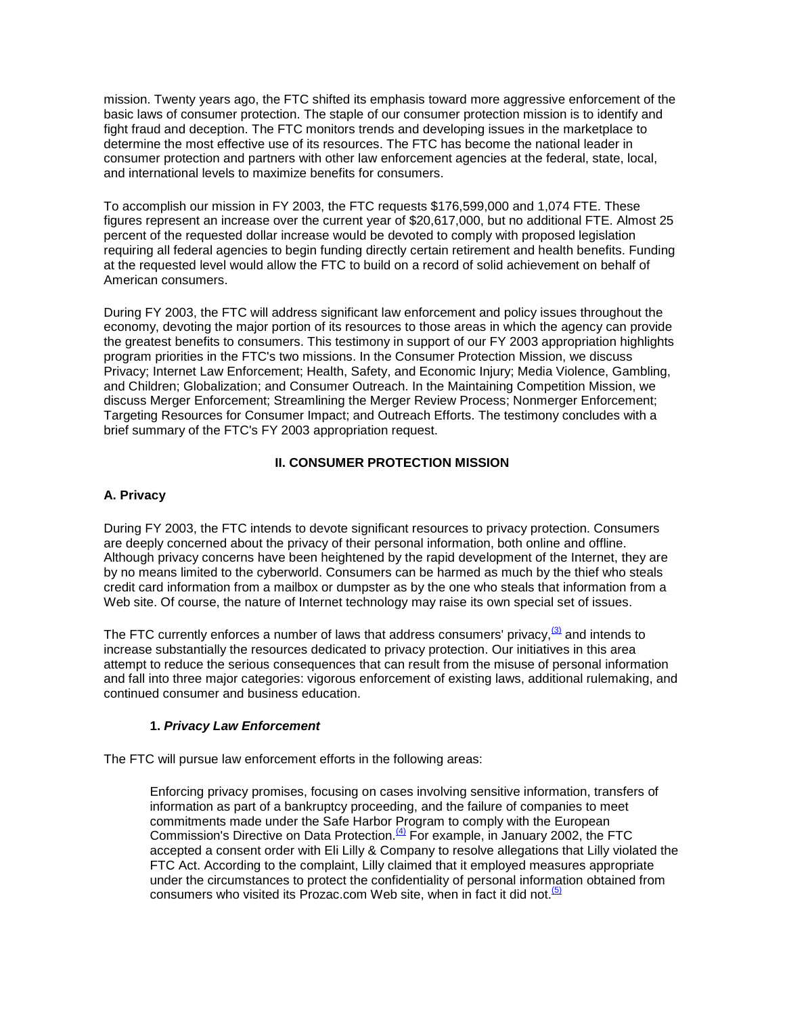mission. Twenty years ago, the FTC shifted its emphasis toward more aggressive enforcement of the basic laws of consumer protection. The staple of our consumer protection mission is to identify and fight fraud and deception. The FTC monitors trends and developing issues in the marketplace to determine the most effective use of its resources. The FTC has become the national leader in consumer protection and partners with other law enforcement agencies at the federal, state, local, and international levels to maximize benefits for consumers.

To accomplish our mission in FY 2003, the FTC requests \$176,599,000 and 1,074 FTE. These figures represent an increase over the current year of \$20,617,000, but no additional FTE. Almost 25 percent of the requested dollar increase would be devoted to comply with proposed legislation requiring all federal agencies to begin funding directly certain retirement and health benefits. Funding at the requested level would allow the FTC to build on a record of solid achievement on behalf of American consumers.

During FY 2003, the FTC will address significant law enforcement and policy issues throughout the economy, devoting the major portion of its resources to those areas in which the agency can provide the greatest benefits to consumers. This testimony in support of our FY 2003 appropriation highlights program priorities in the FTC's two missions. In the Consumer Protection Mission, we discuss Privacy; Internet Law Enforcement; Health, Safety, and Economic Injury; Media Violence, Gambling, and Children; Globalization; and Consumer Outreach. In the Maintaining Competition Mission, we discuss Merger Enforcement; Streamlining the Merger Review Process; Nonmerger Enforcement; Targeting Resources for Consumer Impact; and Outreach Efforts. The testimony concludes with a brief summary of the FTC's FY 2003 appropriation request.

# **II. CONSUMER PROTECTION MISSION**

# **A. Privacy**

During FY 2003, the FTC intends to devote significant resources to privacy protection. Consumers are deeply concerned about the privacy of their personal information, both online and offline. Although privacy concerns have been heightened by the rapid development of the Internet, they are by no means limited to the cyberworld. Consumers can be harmed as much by the thief who steals credit card information from a mailbox or dumpster as by the one who steals that information from a Web site. Of course, the nature of Internet technology may raise its own special set of issues.

The FTC currently enforces a number of laws that address consumers' privacy,  $\frac{(3)}{2}$  and intends to increase substantially the resources dedicated to privacy protection. Our initiatives in this area attempt to reduce the serious consequences that can result from the misuse of personal information and fall into three major categories: vigorous enforcement of existing laws, additional rulemaking, and continued consumer and business education.

# **1.** *Privacy Law Enforcement*

The FTC will pursue law enforcement efforts in the following areas:

Enforcing privacy promises, focusing on cases involving sensitive information, transfers of information as part of a bankruptcy proceeding, and the failure of companies to meet commitments made under the Safe Harbor Program to comply with the European Commission's Directive on Data Protection.<sup>(4)</sup> For example, in January 2002, the FTC accepted a consent order with Eli Lilly & Company to resolve allegations that Lilly violated the FTC Act. According to the complaint, Lilly claimed that it employed measures appropriate under the circumstances to protect the confidentiality of personal information obtained from consumers who visited its Prozac.com Web site, when in fact it did not. $\frac{(5)}{2}$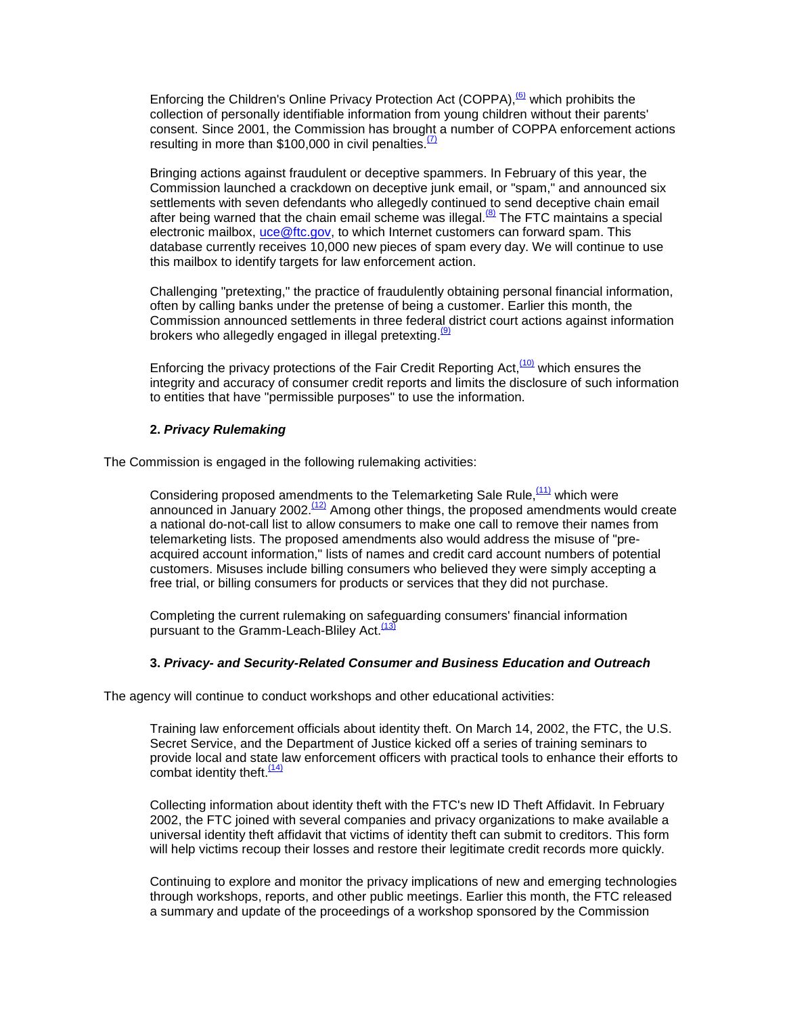Enforcing the Children's Online Privacy Protection Act (COPPA),  $\frac{(6)}{6}$  which prohibits the collection of personally identifiable information from young children without their parents' consent. Since 2001, the Commission has brought a number of COPPA enforcement actions resulting in more than \$100,000 in civil penalties. $\frac{(7)}{2}$ 

Bringing actions against fraudulent or deceptive spammers. In February of this year, the Commission launched a crackdown on deceptive junk email, or "spam," and announced six settlements with seven defendants who allegedly continued to send deceptive chain email after being warned that the chain email scheme was illegal. $^{88}$  The FTC maintains a special electronic mailbox, uce @ftc.gov, to which Internet customers can forward spam. This database currently receives 10,000 new pieces of spam every day. We will continue to use this mailbox to identify targets for law enforcement action.

Challenging "pretexting," the practice of fraudulently obtaining personal financial information, often by calling banks under the pretense of being a customer. Earlier this month, the Commission announced settlements in three federal district court actions against information brokers who allegedly engaged in illegal pretexting.<sup>(9)</sup>

Enforcing the privacy protections of the Fair Credit Reporting Act,<sup>(10)</sup> which ensures the integrity and accuracy of consumer credit reports and limits the disclosure of such information to entities that have "permissible purposes" to use the information.

#### **2.** *Privacy Rulemaking*

The Commission is engaged in the following rulemaking activities:

Considering proposed amendments to the Telemarketing Sale Rule,  $(11)$  which were announced in January 2002.<sup>(12)</sup> Among other things, the proposed amendments would create a national do-not-call list to allow consumers to make one call to remove their names from telemarketing lists. The proposed amendments also would address the misuse of "preacquired account information," lists of names and credit card account numbers of potential customers. Misuses include billing consumers who believed they were simply accepting a free trial, or billing consumers for products or services that they did not purchase.

Completing the current rulemaking on safeguarding consumers' financial information pursuant to the Gramm-Leach-Bliley Act.<sup>(13)</sup>

#### **3.** *Privacy- and Security-Related Consumer and Business Education and Outreach*

The agency will continue to conduct workshops and other educational activities:

Training law enforcement officials about identity theft. On March 14, 2002, the FTC, the U.S. Secret Service, and the Department of Justice kicked off a series of training seminars to provide local and state law enforcement officers with practical tools to enhance their efforts to combat identity theft. $\frac{(14)}{1}$ 

Collecting information about identity theft with the FTC's new ID Theft Affidavit. In February 2002, the FTC joined with several companies and privacy organizations to make available a universal identity theft affidavit that victims of identity theft can submit to creditors. This form will help victims recoup their losses and restore their legitimate credit records more quickly.

Continuing to explore and monitor the privacy implications of new and emerging technologies through workshops, reports, and other public meetings. Earlier this month, the FTC released a summary and update of the proceedings of a workshop sponsored by the Commission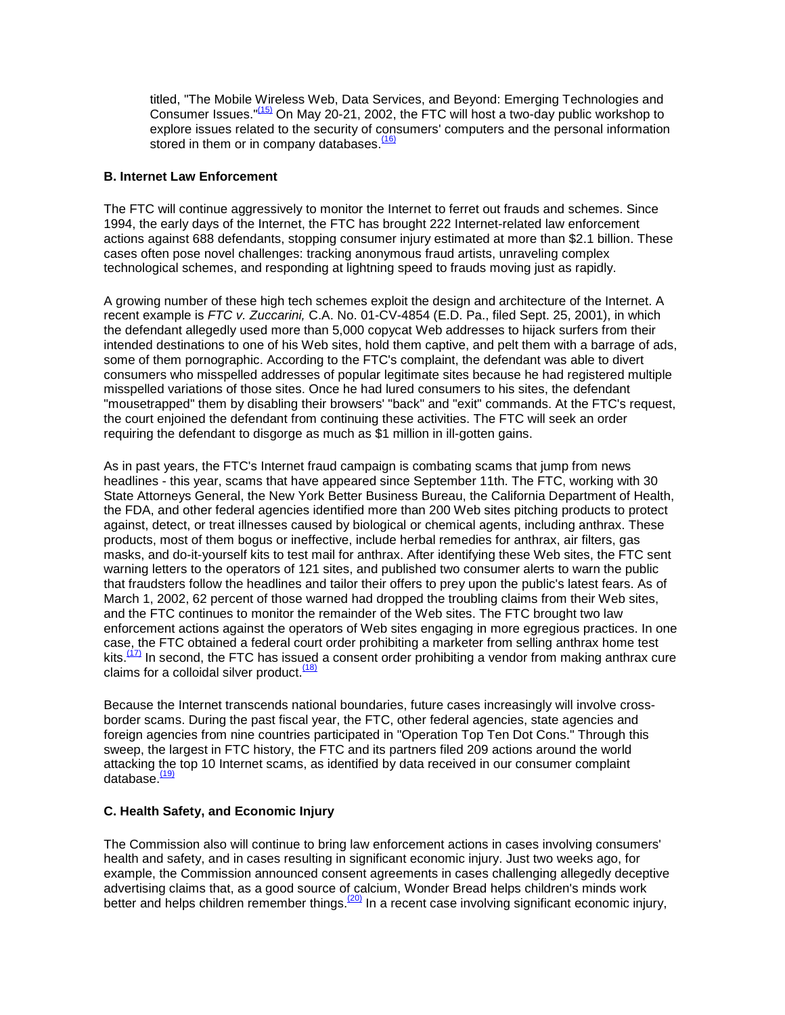titled, "The Mobile Wireless Web, Data Services, and Beyond: Emerging Technologies and Consumer Issues."(15) On May 20-21, 2002, the FTC will host a two-day public workshop to explore issues related to the security of consumers' computers and the personal information stored in them or in company databases. $(16)$ 

### **B. Internet Law Enforcement**

The FTC will continue aggressively to monitor the Internet to ferret out frauds and schemes. Since 1994, the early days of the Internet, the FTC has brought 222 Internet-related law enforcement actions against 688 defendants, stopping consumer injury estimated at more than \$2.1 billion. These cases often pose novel challenges: tracking anonymous fraud artists, unraveling complex technological schemes, and responding at lightning speed to frauds moving just as rapidly.

A growing number of these high tech schemes exploit the design and architecture of the Internet. A recent example is *FTC v. Zuccarini,* C.A. No. 01-CV-4854 (E.D. Pa., filed Sept. 25, 2001), in which the defendant allegedly used more than 5,000 copycat Web addresses to hijack surfers from their intended destinations to one of his Web sites, hold them captive, and pelt them with a barrage of ads, some of them pornographic. According to the FTC's complaint, the defendant was able to divert consumers who misspelled addresses of popular legitimate sites because he had registered multiple misspelled variations of those sites. Once he had lured consumers to his sites, the defendant "mousetrapped" them by disabling their browsers' "back" and "exit" commands. At the FTC's request, the court enjoined the defendant from continuing these activities. The FTC will seek an order requiring the defendant to disgorge as much as \$1 million in ill-gotten gains.

As in past years, the FTC's Internet fraud campaign is combating scams that jump from news headlines - this year, scams that have appeared since September 11th. The FTC, working with 30 State Attorneys General, the New York Better Business Bureau, the California Department of Health, the FDA, and other federal agencies identified more than 200 Web sites pitching products to protect against, detect, or treat illnesses caused by biological or chemical agents, including anthrax. These products, most of them bogus or ineffective, include herbal remedies for anthrax, air filters, gas masks, and do-it-yourself kits to test mail for anthrax. After identifying these Web sites, the FTC sent warning letters to the operators of 121 sites, and published two consumer alerts to warn the public that fraudsters follow the headlines and tailor their offers to prey upon the public's latest fears. As of March 1, 2002, 62 percent of those warned had dropped the troubling claims from their Web sites, and the FTC continues to monitor the remainder of the Web sites. The FTC brought two law enforcement actions against the operators of Web sites engaging in more egregious practices. In one case, the FTC obtained a federal court order prohibiting a marketer from selling anthrax home test kits. $\frac{(17)}{17}$  In second, the FTC has issued a consent order prohibiting a vendor from making anthrax cure claims for a colloidal silver product.  $(18)$ 

Because the Internet transcends national boundaries, future cases increasingly will involve crossborder scams. During the past fiscal year, the FTC, other federal agencies, state agencies and foreign agencies from nine countries participated in "Operation Top Ten Dot Cons." Through this sweep, the largest in FTC history, the FTC and its partners filed 209 actions around the world attacking the top 10 Internet scams, as identified by data received in our consumer complaint database.<sup>(19)</sup>

#### **C. Health Safety, and Economic Injury**

The Commission also will continue to bring law enforcement actions in cases involving consumers' health and safety, and in cases resulting in significant economic injury. Just two weeks ago, for example, the Commission announced consent agreements in cases challenging allegedly deceptive advertising claims that, as a good source of calcium, Wonder Bread helps children's minds work better and helps children remember things.<sup>(20)</sup> In a recent case involving significant economic injury,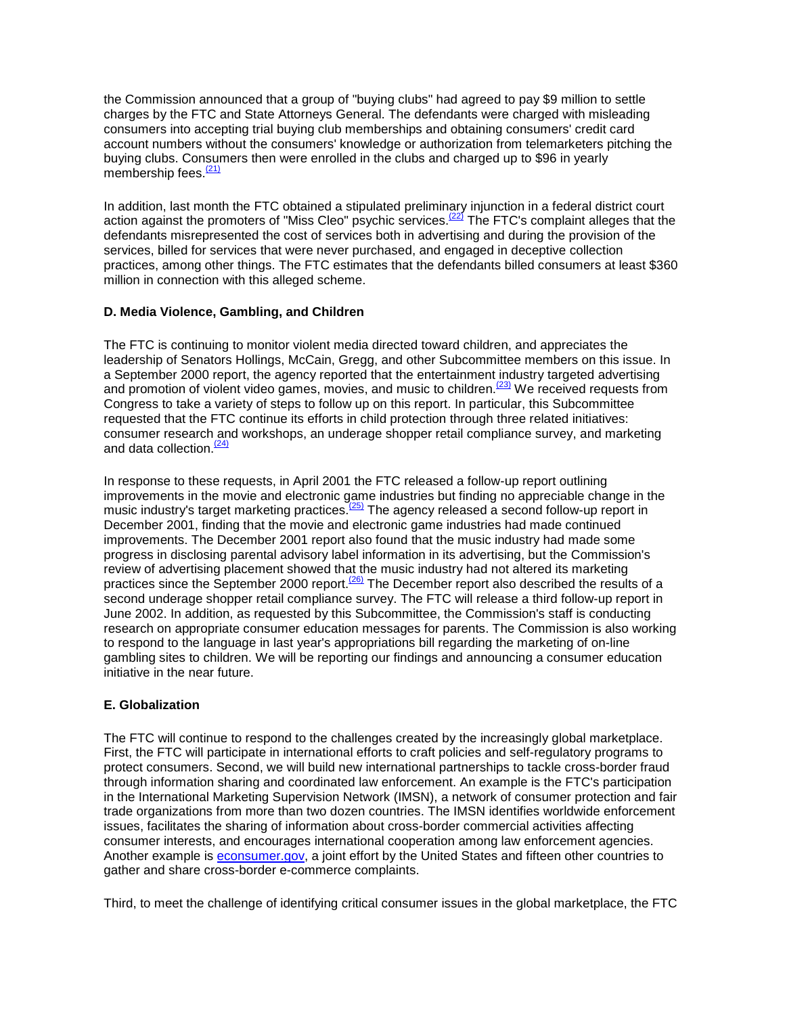the Commission announced that a group of "buying clubs" had agreed to pay \$9 million to settle charges by the FTC and State Attorneys General. The defendants were charged with misleading consumers into accepting trial buying club memberships and obtaining consumers' credit card account numbers without the consumers' knowledge or authorization from telemarketers pitching the buying clubs. Consumers then were enrolled in the clubs and charged up to \$96 in yearly membership fees.<sup>(21)</sup>

In addition, last month the FTC obtained a stipulated preliminary injunction in a federal district court action against the promoters of "Miss Cleo" psychic services.<sup>(22)</sup> The FTC's complaint alleges that the defendants misrepresented the cost of services both in advertising and during the provision of the services, billed for services that were never purchased, and engaged in deceptive collection practices, among other things. The FTC estimates that the defendants billed consumers at least \$360 million in connection with this alleged scheme.

## **D. Media Violence, Gambling, and Children**

The FTC is continuing to monitor violent media directed toward children, and appreciates the leadership of Senators Hollings, McCain, Gregg, and other Subcommittee members on this issue. In a September 2000 report, the agency reported that the entertainment industry targeted advertising and promotion of violent video games, movies, and music to children.<sup>(23)</sup> We received requests from Congress to take a variety of steps to follow up on this report. In particular, this Subcommittee requested that the FTC continue its efforts in child protection through three related initiatives: consumer research and workshops, an underage shopper retail compliance survey, and marketing and data collection.<sup>(24)</sup>

In response to these requests, in April 2001 the FTC released a follow-up report outlining improvements in the movie and electronic game industries but finding no appreciable change in the music industry's target marketing practices.<sup>(25)</sup> The agency released a second follow-up report in December 2001, finding that the movie and electronic game industries had made continued improvements. The December 2001 report also found that the music industry had made some progress in disclosing parental advisory label information in its advertising, but the Commission's review of advertising placement showed that the music industry had not altered its marketing practices since the September 2000 report.<sup> $(26)$ </sup> The December report also described the results of a second underage shopper retail compliance survey. The FTC will release a third follow-up report in June 2002. In addition, as requested by this Subcommittee, the Commission's staff is conducting research on appropriate consumer education messages for parents. The Commission is also working to respond to the language in last year's appropriations bill regarding the marketing of on-line gambling sites to children. We will be reporting our findings and announcing a consumer education initiative in the near future.

# **E. Globalization**

The FTC will continue to respond to the challenges created by the increasingly global marketplace. First, the FTC will participate in international efforts to craft policies and self-regulatory programs to protect consumers. Second, we will build new international partnerships to tackle cross-border fraud through information sharing and coordinated law enforcement. An example is the FTC's participation in the International Marketing Supervision Network (IMSN), a network of consumer protection and fair trade organizations from more than two dozen countries. The IMSN identifies worldwide enforcement issues, facilitates the sharing of information about cross-border commercial activities affecting consumer interests, and encourages international cooperation among law enforcement agencies. Another example is [econsumer.gov,](http://www.econsumer.gov/) a joint effort by the United States and fifteen other countries to gather and share cross-border e-commerce complaints.

Third, to meet the challenge of identifying critical consumer issues in the global marketplace, the FTC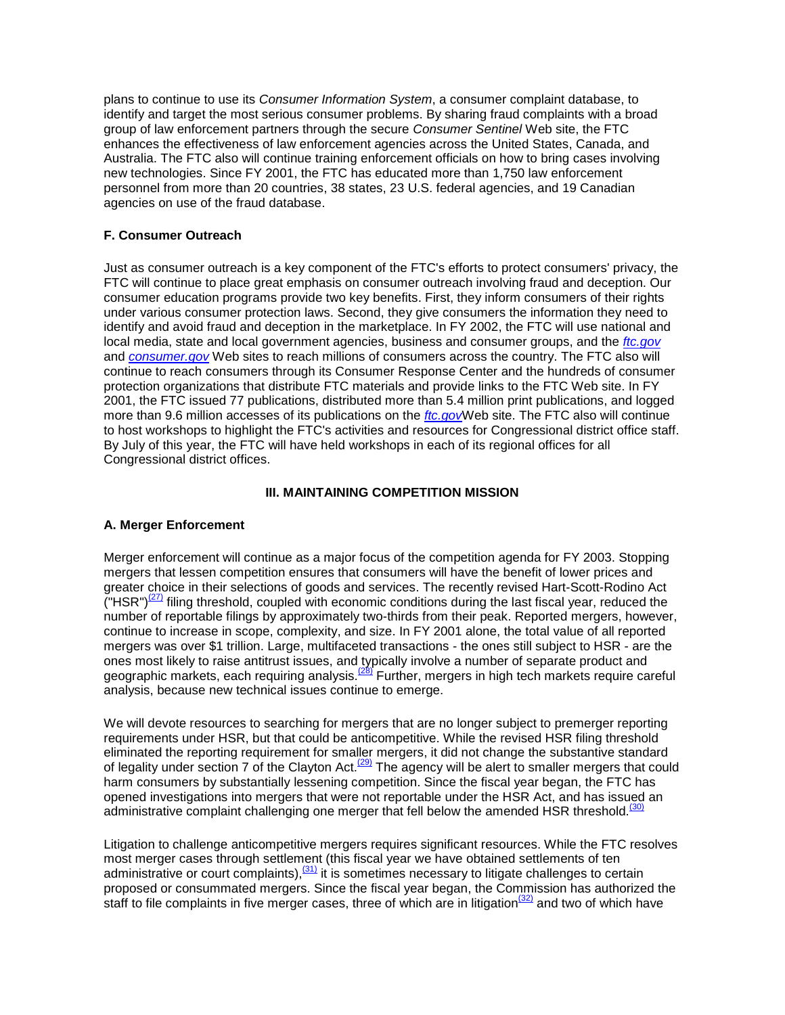plans to continue to use its *Consumer Information System*, a consumer complaint database, to identify and target the most serious consumer problems. By sharing fraud complaints with a broad group of law enforcement partners through the secure *Consumer Sentinel* Web site, the FTC enhances the effectiveness of law enforcement agencies across the United States, Canada, and Australia. The FTC also will continue training enforcement officials on how to bring cases involving new technologies. Since FY 2001, the FTC has educated more than 1,750 law enforcement personnel from more than 20 countries, 38 states, 23 U.S. federal agencies, and 19 Canadian agencies on use of the fraud database.

## **F. Consumer Outreach**

Just as consumer outreach is a key component of the FTC's efforts to protect consumers' privacy, the FTC will continue to place great emphasis on consumer outreach involving fraud and deception. Our consumer education programs provide two key benefits. First, they inform consumers of their rights under various consumer protection laws. Second, they give consumers the information they need to identify and avoid fraud and deception in the marketplace. In FY 2002, the FTC will use national and local media, state and local government agencies, business and consumer groups, and the *[ftc.gov](http://www.ftc.gov/)* and *[consumer.gov](http://www.consumer.gov/)* Web sites to reach millions of consumers across the country. The FTC also will continue to reach consumers through its Consumer Response Center and the hundreds of consumer protection organizations that distribute FTC materials and provide links to the FTC Web site. In FY 2001, the FTC issued 77 publications, distributed more than 5.4 million print publications, and logged more than 9.6 million accesses of its publications on the *[ftc.gov](http://www.ftc.gov/)*Web site. The FTC also will continue to host workshops to highlight the FTC's activities and resources for Congressional district office staff. By July of this year, the FTC will have held workshops in each of its regional offices for all Congressional district offices.

#### **III. MAINTAINING COMPETITION MISSION**

#### **A. Merger Enforcement**

Merger enforcement will continue as a major focus of the competition agenda for FY 2003. Stopping mergers that lessen competition ensures that consumers will have the benefit of lower prices and greater choice in their selections of goods and services. The recently revised Hart-Scott-Rodino Act  $($ "HSR") $(27)$  filing threshold, coupled with economic conditions during the last fiscal year, reduced the number of reportable filings by approximately two-thirds from their peak. Reported mergers, however, continue to increase in scope, complexity, and size. In FY 2001 alone, the total value of all reported mergers was over \$1 trillion. Large, multifaceted transactions - the ones still subject to HSR - are the ones most likely to raise antitrust issues, and typically involve a number of separate product and geographic markets, each requiring analysis.<sup>(28)</sup> Further, mergers in high tech markets require careful analysis, because new technical issues continue to emerge.

We will devote resources to searching for mergers that are no longer subject to premerger reporting requirements under HSR, but that could be anticompetitive. While the revised HSR filing threshold eliminated the reporting requirement for smaller mergers, it did not change the substantive standard of legality under section 7 of the Clayton Act.<sup>(29)</sup> The agency will be alert to smaller mergers that could harm consumers by substantially lessening competition. Since the fiscal year began, the FTC has opened investigations into mergers that were not reportable under the HSR Act, and has issued an administrative complaint challenging one merger that fell below the amended HSR threshold.<sup>(30)</sup>

Litigation to challenge anticompetitive mergers requires significant resources. While the FTC resolves most merger cases through settlement (this fiscal year we have obtained settlements of ten administrative or court complaints),<sup>(31)</sup> it is sometimes necessary to litigate challenges to certain proposed or consummated mergers. Since the fiscal year began, the Commission has authorized the staff to file complaints in five merger cases, three of which are in litigation<sup>(32)</sup> and two of which have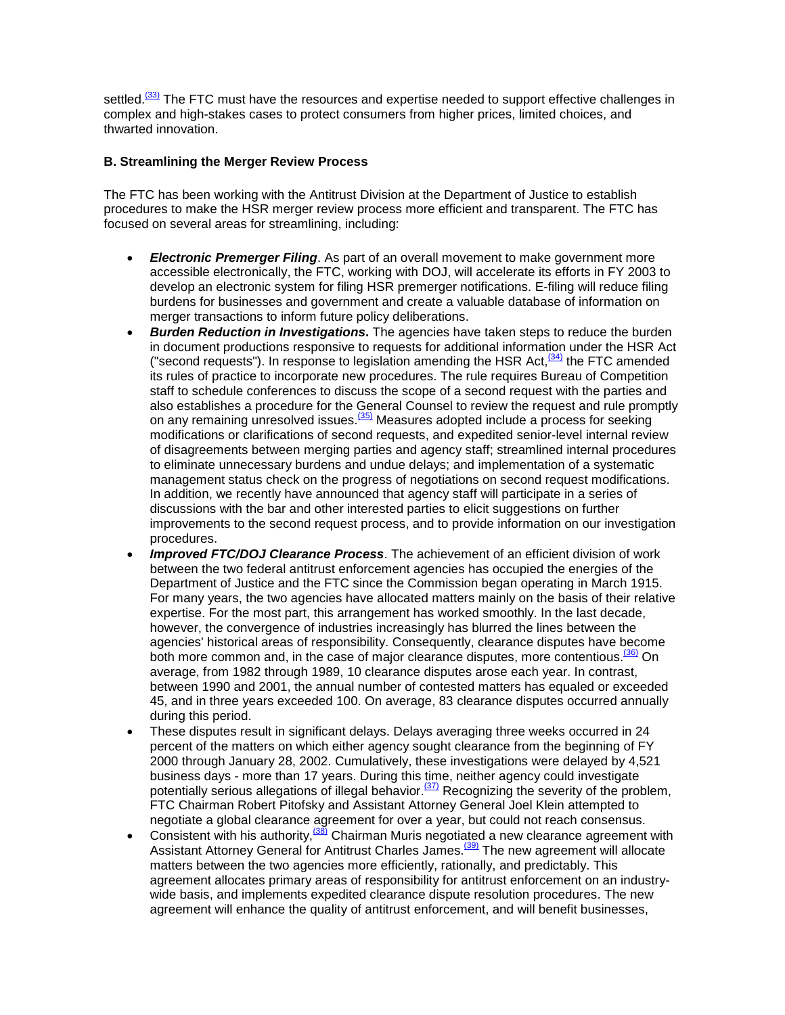settled.<sup>(33)</sup> The FTC must have the resources and expertise needed to support effective challenges in complex and high-stakes cases to protect consumers from higher prices, limited choices, and thwarted innovation.

## **B. Streamlining the Merger Review Process**

The FTC has been working with the Antitrust Division at the Department of Justice to establish procedures to make the HSR merger review process more efficient and transparent. The FTC has focused on several areas for streamlining, including:

- *Electronic Premerger Filing*. As part of an overall movement to make government more accessible electronically, the FTC, working with DOJ, will accelerate its efforts in FY 2003 to develop an electronic system for filing HSR premerger notifications. E-filing will reduce filing burdens for businesses and government and create a valuable database of information on merger transactions to inform future policy deliberations.
- *Burden Reduction in Investigations***.** The agencies have taken steps to reduce the burden in document productions responsive to requests for additional information under the HSR Act ("second requests"). In response to legislation amending the HSR Act, $(34)$  the FTC amended its rules of practice to incorporate new procedures. The rule requires Bureau of Competition staff to schedule conferences to discuss the scope of a second request with the parties and also establishes a procedure for the General Counsel to review the request and rule promptly on any remaining unresolved issues.<sup>(35)</sup> Measures adopted include a process for seeking modifications or clarifications of second requests, and expedited senior-level internal review of disagreements between merging parties and agency staff; streamlined internal procedures to eliminate unnecessary burdens and undue delays; and implementation of a systematic management status check on the progress of negotiations on second request modifications. In addition, we recently have announced that agency staff will participate in a series of discussions with the bar and other interested parties to elicit suggestions on further improvements to the second request process, and to provide information on our investigation procedures.
- *Improved FTC/DOJ Clearance Process*. The achievement of an efficient division of work between the two federal antitrust enforcement agencies has occupied the energies of the Department of Justice and the FTC since the Commission began operating in March 1915. For many years, the two agencies have allocated matters mainly on the basis of their relative expertise. For the most part, this arrangement has worked smoothly. In the last decade, however, the convergence of industries increasingly has blurred the lines between the agencies' historical areas of responsibility. Consequently, clearance disputes have become both more common and, in the case of major clearance disputes, more contentious.<sup>(36)</sup> On average, from 1982 through 1989, 10 clearance disputes arose each year. In contrast, between 1990 and 2001, the annual number of contested matters has equaled or exceeded 45, and in three years exceeded 100. On average, 83 clearance disputes occurred annually during this period.
- These disputes result in significant delays. Delays averaging three weeks occurred in 24 percent of the matters on which either agency sought clearance from the beginning of FY 2000 through January 28, 2002. Cumulatively, these investigations were delayed by 4,521 business days - more than 17 years. During this time, neither agency could investigate potentially serious allegations of illegal behavior.<sup>(37)</sup> Recognizing the severity of the problem, FTC Chairman Robert Pitofsky and Assistant Attorney General Joel Klein attempted to negotiate a global clearance agreement for over a year, but could not reach consensus.
- Consistent with his authority,  $\frac{(38)}{8}$  Chairman Muris negotiated a new clearance agreement with Assistant Attorney General for Antitrust Charles James.<sup>[39]</sup> The new agreement will allocate matters between the two agencies more efficiently, rationally, and predictably. This agreement allocates primary areas of responsibility for antitrust enforcement on an industrywide basis, and implements expedited clearance dispute resolution procedures. The new agreement will enhance the quality of antitrust enforcement, and will benefit businesses,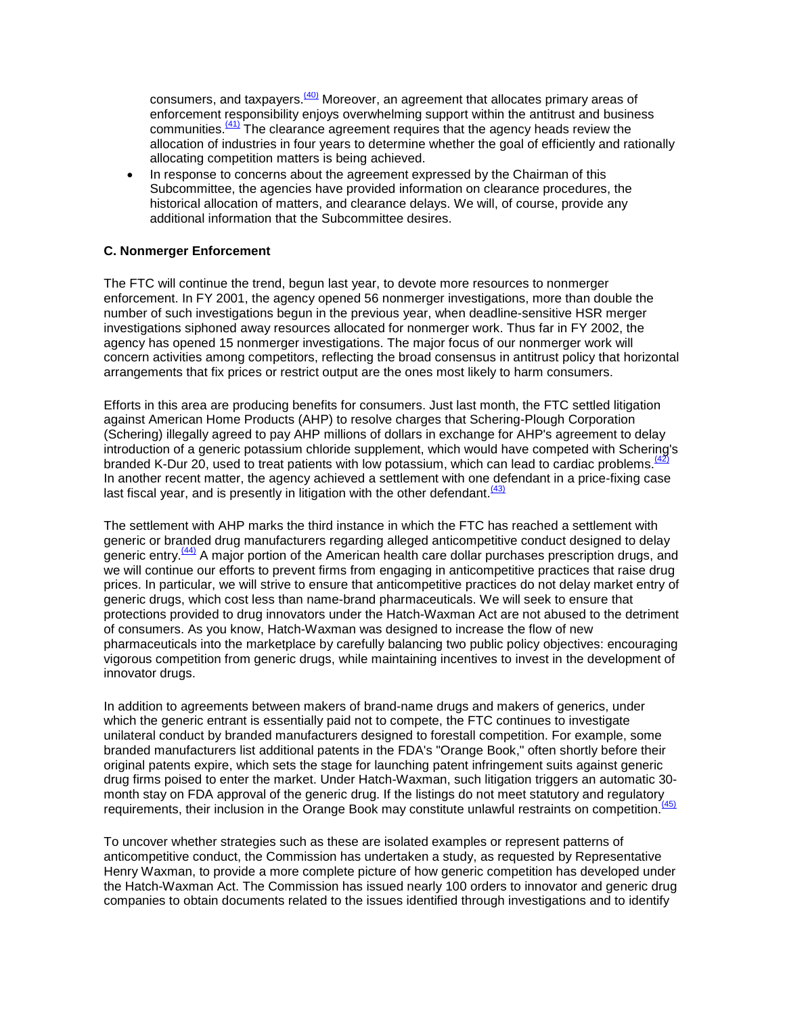consumers, and taxpayers. $(40)$  Moreover, an agreement that allocates primary areas of enforcement responsibility enjoys overwhelming support within the antitrust and business communities. $\frac{(41)}{11}$  The clearance agreement requires that the agency heads review the allocation of industries in four years to determine whether the goal of efficiently and rationally allocating competition matters is being achieved.

In response to concerns about the agreement expressed by the Chairman of this Subcommittee, the agencies have provided information on clearance procedures, the historical allocation of matters, and clearance delays. We will, of course, provide any additional information that the Subcommittee desires.

### **C. Nonmerger Enforcement**

The FTC will continue the trend, begun last year, to devote more resources to nonmerger enforcement. In FY 2001, the agency opened 56 nonmerger investigations, more than double the number of such investigations begun in the previous year, when deadline-sensitive HSR merger investigations siphoned away resources allocated for nonmerger work. Thus far in FY 2002, the agency has opened 15 nonmerger investigations. The major focus of our nonmerger work will concern activities among competitors, reflecting the broad consensus in antitrust policy that horizontal arrangements that fix prices or restrict output are the ones most likely to harm consumers.

Efforts in this area are producing benefits for consumers. Just last month, the FTC settled litigation against American Home Products (AHP) to resolve charges that Schering-Plough Corporation (Schering) illegally agreed to pay AHP millions of dollars in exchange for AHP's agreement to delay introduction of a generic potassium chloride supplement, which would have competed with Schering's branded K-Dur 20, used to treat patients with low potassium, which can lead to cardiac problems.<sup>(42)</sup> In another recent matter, the agency achieved a settlement with one defendant in a price-fixing case last fiscal year, and is presently in litigation with the other defendant.  $\frac{(43)}{(43)}$ 

The settlement with AHP marks the third instance in which the FTC has reached a settlement with generic or branded drug manufacturers regarding alleged anticompetitive conduct designed to delay generic entry.<sup>(44)</sup> A major portion of the American health care dollar purchases prescription drugs, and we will continue our efforts to prevent firms from engaging in anticompetitive practices that raise drug prices. In particular, we will strive to ensure that anticompetitive practices do not delay market entry of generic drugs, which cost less than name-brand pharmaceuticals. We will seek to ensure that protections provided to drug innovators under the Hatch-Waxman Act are not abused to the detriment of consumers. As you know, Hatch-Waxman was designed to increase the flow of new pharmaceuticals into the marketplace by carefully balancing two public policy objectives: encouraging vigorous competition from generic drugs, while maintaining incentives to invest in the development of innovator drugs.

In addition to agreements between makers of brand-name drugs and makers of generics, under which the generic entrant is essentially paid not to compete, the FTC continues to investigate unilateral conduct by branded manufacturers designed to forestall competition. For example, some branded manufacturers list additional patents in the FDA's "Orange Book," often shortly before their original patents expire, which sets the stage for launching patent infringement suits against generic drug firms poised to enter the market. Under Hatch-Waxman, such litigation triggers an automatic 30 month stay on FDA approval of the generic drug. If the listings do not meet statutory and regulatory requirements, their inclusion in the Orange Book may constitute unlawful restraints on competition.<sup>(45)</sup>

To uncover whether strategies such as these are isolated examples or represent patterns of anticompetitive conduct, the Commission has undertaken a study, as requested by Representative Henry Waxman, to provide a more complete picture of how generic competition has developed under the Hatch-Waxman Act. The Commission has issued nearly 100 orders to innovator and generic drug companies to obtain documents related to the issues identified through investigations and to identify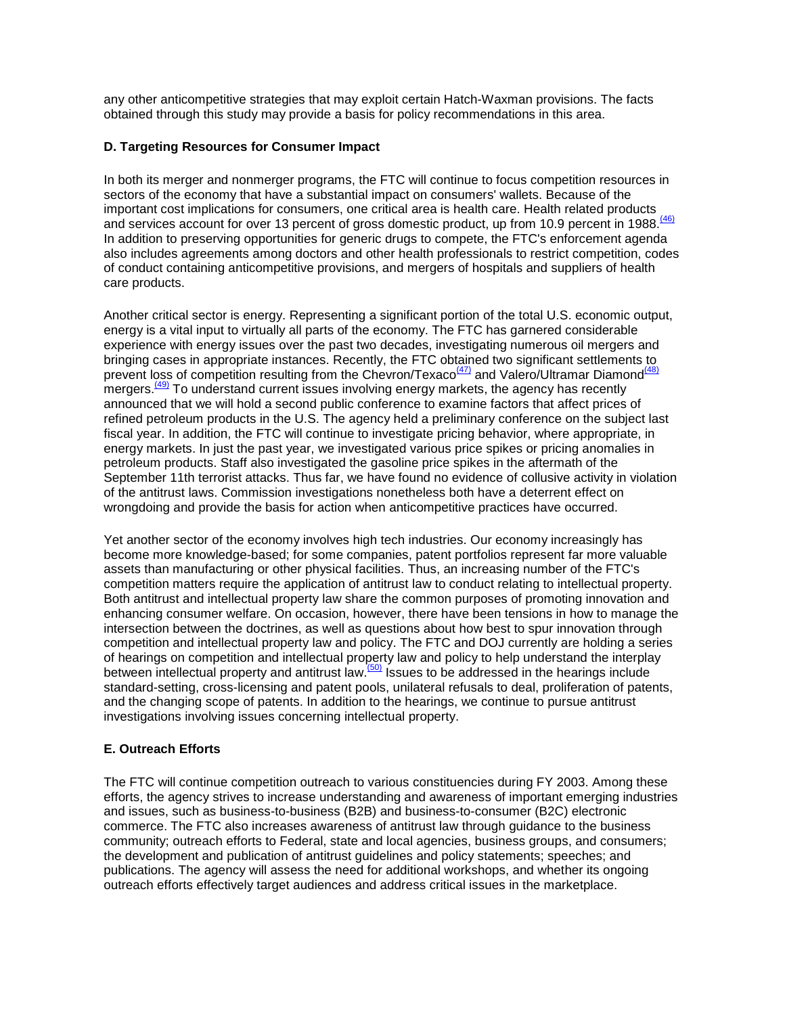any other anticompetitive strategies that may exploit certain Hatch-Waxman provisions. The facts obtained through this study may provide a basis for policy recommendations in this area.

# **D. Targeting Resources for Consumer Impact**

In both its merger and nonmerger programs, the FTC will continue to focus competition resources in sectors of the economy that have a substantial impact on consumers' wallets. Because of the important cost implications for consumers, one critical area is health care. Health related products and services account for over 13 percent of gross domestic product, up from 10.9 percent in 1988.<sup>(46)</sup> In addition to preserving opportunities for generic drugs to compete, the FTC's enforcement agenda also includes agreements among doctors and other health professionals to restrict competition, codes of conduct containing anticompetitive provisions, and mergers of hospitals and suppliers of health care products.

Another critical sector is energy. Representing a significant portion of the total U.S. economic output, energy is a vital input to virtually all parts of the economy. The FTC has garnered considerable experience with energy issues over the past two decades, investigating numerous oil mergers and bringing cases in appropriate instances. Recently, the FTC obtained two significant settlements to prevent loss of competition resulting from the Chevron/Texaco<sup>(47)</sup> and Valero/Ultramar Diamond<sup>(48)</sup> mergers.<sup>(49)</sup> To understand current issues involving energy markets, the agency has recently announced that we will hold a second public conference to examine factors that affect prices of refined petroleum products in the U.S. The agency held a preliminary conference on the subject last fiscal year. In addition, the FTC will continue to investigate pricing behavior, where appropriate, in energy markets. In just the past year, we investigated various price spikes or pricing anomalies in petroleum products. Staff also investigated the gasoline price spikes in the aftermath of the September 11th terrorist attacks. Thus far, we have found no evidence of collusive activity in violation of the antitrust laws. Commission investigations nonetheless both have a deterrent effect on wrongdoing and provide the basis for action when anticompetitive practices have occurred.

Yet another sector of the economy involves high tech industries. Our economy increasingly has become more knowledge-based; for some companies, patent portfolios represent far more valuable assets than manufacturing or other physical facilities. Thus, an increasing number of the FTC's competition matters require the application of antitrust law to conduct relating to intellectual property. Both antitrust and intellectual property law share the common purposes of promoting innovation and enhancing consumer welfare. On occasion, however, there have been tensions in how to manage the intersection between the doctrines, as well as questions about how best to spur innovation through competition and intellectual property law and policy. The FTC and DOJ currently are holding a series of hearings on competition and intellectual property law and policy to help understand the interplay between intellectual property and antitrust law.<sup>(50)</sup> Issues to be addressed in the hearings include standard-setting, cross-licensing and patent pools, unilateral refusals to deal, proliferation of patents, and the changing scope of patents. In addition to the hearings, we continue to pursue antitrust investigations involving issues concerning intellectual property.

# **E. Outreach Efforts**

The FTC will continue competition outreach to various constituencies during FY 2003. Among these efforts, the agency strives to increase understanding and awareness of important emerging industries and issues, such as business-to-business (B2B) and business-to-consumer (B2C) electronic commerce. The FTC also increases awareness of antitrust law through guidance to the business community; outreach efforts to Federal, state and local agencies, business groups, and consumers; the development and publication of antitrust guidelines and policy statements; speeches; and publications. The agency will assess the need for additional workshops, and whether its ongoing outreach efforts effectively target audiences and address critical issues in the marketplace.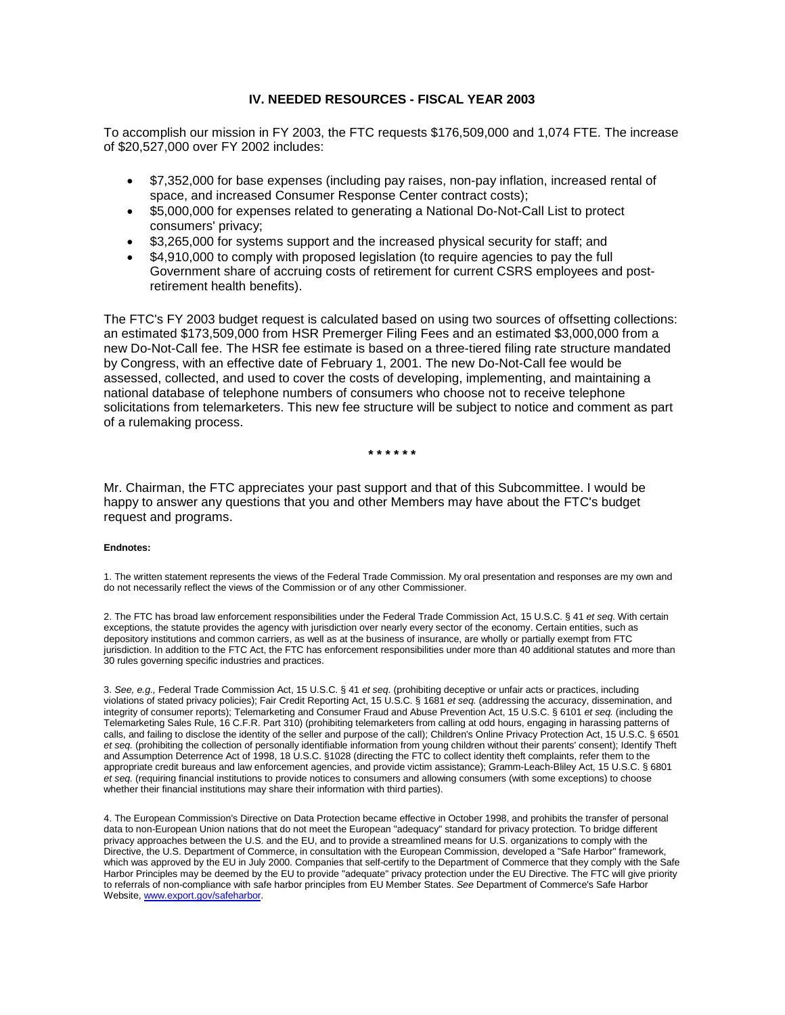#### **IV. NEEDED RESOURCES - FISCAL YEAR 2003**

To accomplish our mission in FY 2003, the FTC requests \$176,509,000 and 1,074 FTE. The increase of \$20,527,000 over FY 2002 includes:

- \$7,352,000 for base expenses (including pay raises, non-pay inflation, increased rental of space, and increased Consumer Response Center contract costs);
- \$5,000,000 for expenses related to generating a National Do-Not-Call List to protect consumers' privacy;
- \$3,265,000 for systems support and the increased physical security for staff; and
- \$4,910,000 to comply with proposed legislation (to require agencies to pay the full Government share of accruing costs of retirement for current CSRS employees and postretirement health benefits).

The FTC's FY 2003 budget request is calculated based on using two sources of offsetting collections: an estimated \$173,509,000 from HSR Premerger Filing Fees and an estimated \$3,000,000 from a new Do-Not-Call fee. The HSR fee estimate is based on a three-tiered filing rate structure mandated by Congress, with an effective date of February 1, 2001. The new Do-Not-Call fee would be assessed, collected, and used to cover the costs of developing, implementing, and maintaining a national database of telephone numbers of consumers who choose not to receive telephone solicitations from telemarketers. This new fee structure will be subject to notice and comment as part of a rulemaking process.

**\* \* \* \* \* \***

Mr. Chairman, the FTC appreciates your past support and that of this Subcommittee. I would be happy to answer any questions that you and other Members may have about the FTC's budget request and programs.

#### **Endnotes:**

1. The written statement represents the views of the Federal Trade Commission. My oral presentation and responses are my own and do not necessarily reflect the views of the Commission or of any other Commissioner.

2. The FTC has broad law enforcement responsibilities under the Federal Trade Commission Act, 15 U.S.C. § 41 *et seq*. With certain exceptions, the statute provides the agency with jurisdiction over nearly every sector of the economy. Certain entities, such as depository institutions and common carriers, as well as at the business of insurance, are wholly or partially exempt from FTC jurisdiction. In addition to the FTC Act, the FTC has enforcement responsibilities under more than 40 additional statutes and more than 30 rules governing specific industries and practices.

3. *See, e.g.,* Federal Trade Commission Act, 15 U.S.C. § 41 *et seq*. (prohibiting deceptive or unfair acts or practices, including violations of stated privacy policies); Fair Credit Reporting Act, 15 U.S.C. § 1681 *et seq.* (addressing the accuracy, dissemination, and integrity of consumer reports); Telemarketing and Consumer Fraud and Abuse Prevention Act, 15 U.S.C. § 6101 *et seq.* (including the Telemarketing Sales Rule, 16 C.F.R. Part 310) (prohibiting telemarketers from calling at odd hours, engaging in harassing patterns of calls, and failing to disclose the identity of the seller and purpose of the call); Children's Online Privacy Protection Act, 15 U.S.C. § 6501 *et seq.* (prohibiting the collection of personally identifiable information from young children without their parents' consent); Identify Theft and Assumption Deterrence Act of 1998, 18 U.S.C. §1028 (directing the FTC to collect identity theft complaints, refer them to the appropriate credit bureaus and law enforcement agencies, and provide victim assistance); Gramm-Leach-Bliley Act, 15 U.S.C. § 6801 *et seq.* (requiring financial institutions to provide notices to consumers and allowing consumers (with some exceptions) to choose whether their financial institutions may share their information with third parties).

4. The European Commission's Directive on Data Protection became effective in October 1998, and prohibits the transfer of personal data to non-European Union nations that do not meet the European "adequacy" standard for privacy protection. To bridge different privacy approaches between the U.S. and the EU, and to provide a streamlined means for U.S. organizations to comply with the Directive, the U.S. Department of Commerce, in consultation with the European Commission, developed a "Safe Harbor" framework, which was approved by the EU in July 2000. Companies that self-certify to the Department of Commerce that they comply with the Safe Harbor Principles may be deemed by the EU to provide "adequate" privacy protection under the EU Directive. The FTC will give priority to referrals of non-compliance with safe harbor principles from EU Member States. *See* Department of Commerce's Safe Harbor Website[, www.export.gov/safeharbor.](http://www.export.gov/safeharbor)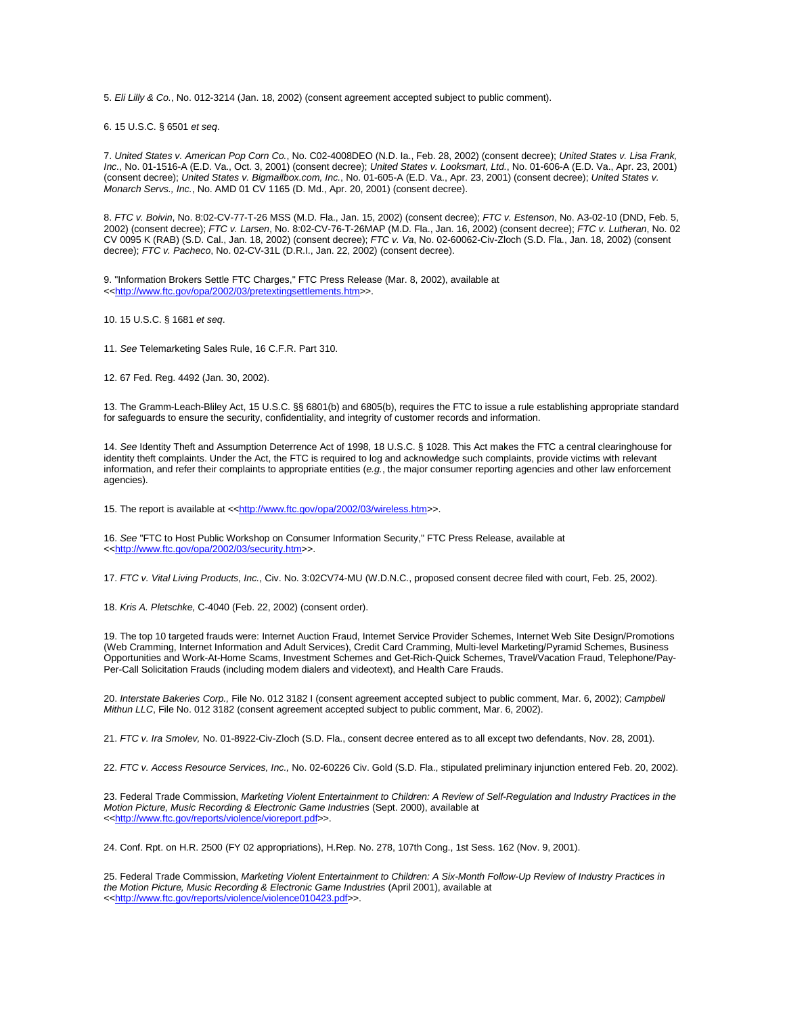5. *Eli Lilly & Co.*, No. 012-3214 (Jan. 18, 2002) (consent agreement accepted subject to public comment).

6. 15 U.S.C. § 6501 *et seq*.

7. *United States v. American Pop Corn Co.*, No. C02-4008DEO (N.D. Ia., Feb. 28, 2002) (consent decree); *United States v. Lisa Frank, Inc.*, No. 01-1516-A (E.D. Va., Oct. 3, 2001) (consent decree); *United States v. Looksmart, Ltd.*, No. 01-606-A (E.D. Va., Apr. 23, 2001) (consent decree); *United States v. Bigmailbox.com, Inc.*, No. 01-605-A (E.D. Va., Apr. 23, 2001) (consent decree); *United States v. Monarch Servs., Inc.*, No. AMD 01 CV 1165 (D. Md., Apr. 20, 2001) (consent decree).

8. *FTC v. Boivin*, No. 8:02-CV-77-T-26 MSS (M.D. Fla., Jan. 15, 2002) (consent decree); *FTC v. Estenson*, No. A3-02-10 (DND, Feb. 5, 2002) (consent decree); *FTC v. Larsen*, No. 8:02-CV-76-T-26MAP (M.D. Fla., Jan. 16, 2002) (consent decree); *FTC v. Lutheran*, No. 02 CV 0095 K (RAB) (S.D. Cal., Jan. 18, 2002) (consent decree); *FTC v. Va*, No. 02-60062-Civ-Zloch (S.D. Fla., Jan. 18, 2002) (consent decree); *FTC v. Pacheco*, No. 02-CV-31L (D.R.I., Jan. 22, 2002) (consent decree).

9. "Information Brokers Settle FTC Charges," FTC Press Release (Mar. 8, 2002), available at <[<http://www.ftc.gov/opa/2002/03/pretextingsettlements.htm>](http://www.ftc.gov/opa/2002/03/pretextingsettlements.htm)>.

10. 15 U.S.C. § 1681 *et seq*.

11. *See* Telemarketing Sales Rule, 16 C.F.R. Part 310.

12. 67 Fed. Reg. 4492 (Jan. 30, 2002).

13. The Gramm-Leach-Bliley Act, 15 U.S.C. §§ 6801(b) and 6805(b), requires the FTC to issue a rule establishing appropriate standard for safeguards to ensure the security, confidentiality, and integrity of customer records and information.

14. *See* Identity Theft and Assumption Deterrence Act of 1998, 18 U.S.C. § 1028. This Act makes the FTC a central clearinghouse for identity theft complaints. Under the Act, the FTC is required to log and acknowledge such complaints, provide victims with relevant information, and refer their complaints to appropriate entities (*e.g.*, the major consumer reporting agencies and other law enforcement agencies).

15. The report is available at <[<http://www.ftc.gov/opa/2002/03/wireless.htm>](http://www.ftc.gov/opa/2002/03/wireless.htm)>.

16. *See* "FTC to Host Public Workshop on Consumer Information Security," FTC Press Release, available at <[<http://www.ftc.gov/opa/2002/03/security.htm>](http://www.ftc.gov/opa/2002/03/security.htm)>.

17. *FTC v. Vital Living Products, Inc.*, Civ. No. 3:02CV74-MU (W.D.N.C., proposed consent decree filed with court, Feb. 25, 2002).

18. *Kris A. Pletschke,* C-4040 (Feb. 22, 2002) (consent order).

19. The top 10 targeted frauds were: Internet Auction Fraud, Internet Service Provider Schemes, Internet Web Site Design/Promotions (Web Cramming, Internet Information and Adult Services), Credit Card Cramming, Multi-level Marketing/Pyramid Schemes, Business Opportunities and Work-At-Home Scams, Investment Schemes and Get-Rich-Quick Schemes, Travel/Vacation Fraud, Telephone/Pay-Per-Call Solicitation Frauds (including modem dialers and videotext), and Health Care Frauds.

20. *Interstate Bakeries Corp.,* File No. 012 3182 I (consent agreement accepted subject to public comment, Mar. 6, 2002); *Campbell Mithun LLC*, File No. 012 3182 (consent agreement accepted subject to public comment, Mar. 6, 2002).

21. *FTC v. Ira Smolev,* No. 01-8922-Civ-Zloch (S.D. Fla., consent decree entered as to all except two defendants, Nov. 28, 2001).

22. *FTC v. Access Resource Services, Inc.,* No. 02-60226 Civ. Gold (S.D. Fla., stipulated preliminary injunction entered Feb. 20, 2002).

23. Federal Trade Commission, *Marketing Violent Entertainment to Children: A Review of Self-Regulation and Industry Practices in the Motion Picture, Music Recording & Electronic Game Industries* (Sept. 2000), available at <[<http://www.ftc.gov/reports/violence/vioreport.pdf>](http://www.ftc.gov/reports/violence/vioreport.pdf)>.

24. Conf. Rpt. on H.R. 2500 (FY 02 appropriations), H.Rep. No. 278, 107th Cong., 1st Sess. 162 (Nov. 9, 2001).

25. Federal Trade Commission, *Marketing Violent Entertainment to Children: A Six-Month Follow-Up Review of Industry Practices in the Motion Picture, Music Recording & Electronic Game Industries* (April 2001), available at <[<http://www.ftc.gov/reports/violence/violence010423.pdf>](http://www.ftc.gov/reports/violence/violence010423.pdf)>.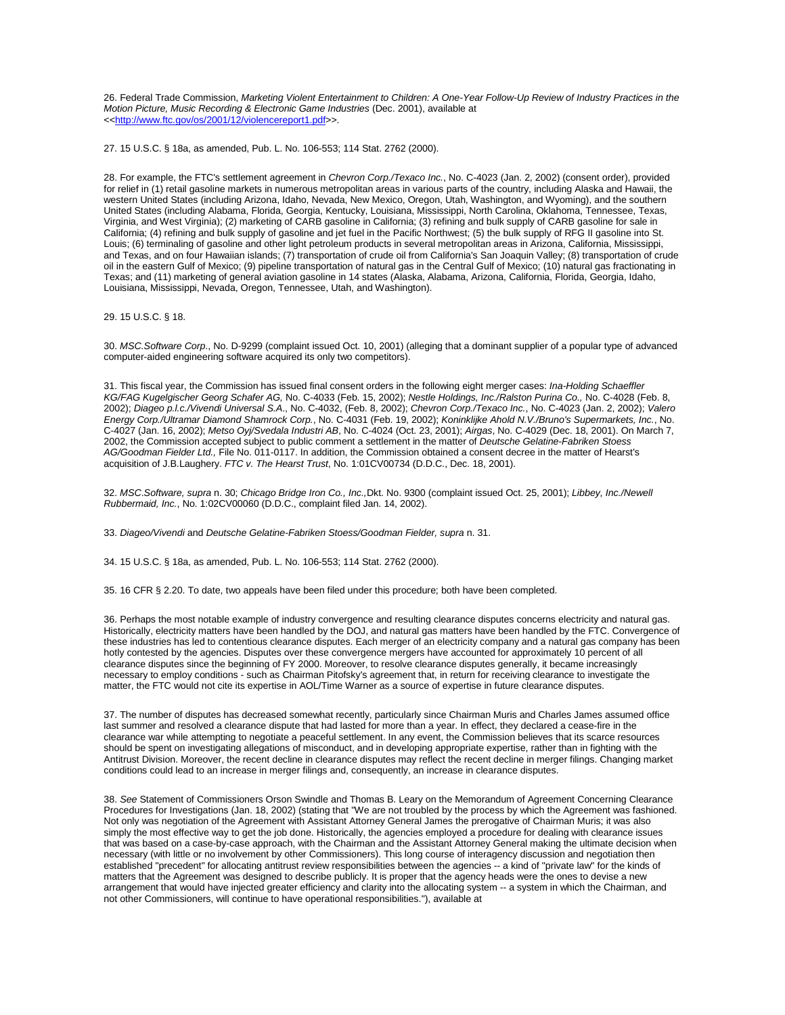26. Federal Trade Commission, *Marketing Violent Entertainment to Children: A One-Year Follow-Up Review of Industry Practices in the Motion Picture, Music Recording & Electronic Game Industries* (Dec. 2001), available at <[<http://www.ftc.gov/os/2001/12/violencereport1.pdf>](http://www.ftc.gov/os/2001/12/violencereport1.pdf)>.

27. 15 U.S.C. § 18a, as amended, Pub. L. No. 106-553; 114 Stat. 2762 (2000).

28. For example, the FTC's settlement agreement in *Chevron Corp./Texaco Inc.*, No. C-4023 (Jan. 2, 2002) (consent order), provided for relief in (1) retail gasoline markets in numerous metropolitan areas in various parts of the country, including Alaska and Hawaii, the western United States (including Arizona, Idaho, Nevada, New Mexico, Oregon, Utah, Washington, and Wyoming), and the southern United States (including Alabama, Florida, Georgia, Kentucky, Louisiana, Mississippi, North Carolina, Oklahoma, Tennessee, Texas, Virginia, and West Virginia); (2) marketing of CARB gasoline in California; (3) refining and bulk supply of CARB gasoline for sale in California; (4) refining and bulk supply of gasoline and jet fuel in the Pacific Northwest; (5) the bulk supply of RFG II gasoline into St. Louis; (6) terminaling of gasoline and other light petroleum products in several metropolitan areas in Arizona, California, Mississippi, and Texas, and on four Hawaiian islands; (7) transportation of crude oil from California's San Joaquin Valley; (8) transportation of crude oil in the eastern Gulf of Mexico; (9) pipeline transportation of natural gas in the Central Gulf of Mexico; (10) natural gas fractionating in Texas; and (11) marketing of general aviation gasoline in 14 states (Alaska, Alabama, Arizona, California, Florida, Georgia, Idaho, Louisiana, Mississippi, Nevada, Oregon, Tennessee, Utah, and Washington).

29. 15 U.S.C. § 18.

30. *MSC.Software Corp*., No. D-9299 (complaint issued Oct. 10, 2001) (alleging that a dominant supplier of a popular type of advanced computer-aided engineering software acquired its only two competitors).

31. This fiscal year, the Commission has issued final consent orders in the following eight merger cases: *Ina-Holding Schaeffler KG/FAG Kugelgischer Georg Schafer AG,* No. C-4033 (Feb. 15, 2002); *Nestle Holdings, Inc./Ralston Purina Co.,* No. C-4028 (Feb. 8, 2002); *Diageo p.l.c./Vivendi Universal S.A*., No. C-4032, (Feb. 8, 2002); *Chevron Corp./Texaco Inc.*, No. C-4023 (Jan. 2, 2002); *Valero Energy Corp./Ultramar Diamond Shamrock Corp.*, No. C-4031 (Feb. 19, 2002); *Koninklijke Ahold N.V./Bruno's Supermarkets, Inc.*, No. C-4027 (Jan. 16, 2002); *Metso Oyj/Svedala Industri AB*, No. C-4024 (Oct. 23, 2001); *Airgas*, No. C-4029 (Dec. 18, 2001). On March 7, 2002, the Commission accepted subject to public comment a settlement in the matter of *Deutsche Gelatine-Fabriken Stoess AG/Goodman Fielder Ltd.,* File No. 011-0117. In addition, the Commission obtained a consent decree in the matter of Hearst's acquisition of J.B.Laughery. *FTC v. The Hearst Trust*, No. 1:01CV00734 (D.D.C., Dec. 18, 2001).

32. *MSC*.*Software, supra* n. 30; *Chicago Bridge Iron Co., Inc.,*Dkt. No. 9300 (complaint issued Oct. 25, 2001); *Libbey, Inc./Newell Rubbermaid, Inc.*, No. 1:02CV00060 (D.D.C., complaint filed Jan. 14, 2002).

33. *Diageo/Vivendi* and *Deutsche Gelatine-Fabriken Stoess/Goodman Fielder, supra* n. 31.

34. 15 U.S.C. § 18a, as amended, Pub. L. No. 106-553; 114 Stat. 2762 (2000).

35. 16 CFR § 2.20. To date, two appeals have been filed under this procedure; both have been completed.

36. Perhaps the most notable example of industry convergence and resulting clearance disputes concerns electricity and natural gas. Historically, electricity matters have been handled by the DOJ, and natural gas matters have been handled by the FTC. Convergence of these industries has led to contentious clearance disputes. Each merger of an electricity company and a natural gas company has been hotly contested by the agencies. Disputes over these convergence mergers have accounted for approximately 10 percent of all clearance disputes since the beginning of FY 2000. Moreover, to resolve clearance disputes generally, it became increasingly necessary to employ conditions - such as Chairman Pitofsky's agreement that, in return for receiving clearance to investigate the matter, the FTC would not cite its expertise in AOL/Time Warner as a source of expertise in future clearance disputes.

37. The number of disputes has decreased somewhat recently, particularly since Chairman Muris and Charles James assumed office last summer and resolved a clearance dispute that had lasted for more than a year. In effect, they declared a cease-fire in the clearance war while attempting to negotiate a peaceful settlement. In any event, the Commission believes that its scarce resources should be spent on investigating allegations of misconduct, and in developing appropriate expertise, rather than in fighting with the Antitrust Division. Moreover, the recent decline in clearance disputes may reflect the recent decline in merger filings. Changing market conditions could lead to an increase in merger filings and, consequently, an increase in clearance disputes.

38. *See* Statement of Commissioners Orson Swindle and Thomas B. Leary on the Memorandum of Agreement Concerning Clearance Procedures for Investigations (Jan. 18, 2002) (stating that "We are not troubled by the process by which the Agreement was fashioned. Not only was negotiation of the Agreement with Assistant Attorney General James the prerogative of Chairman Muris; it was also simply the most effective way to get the job done. Historically, the agencies employed a procedure for dealing with clearance issues that was based on a case-by-case approach, with the Chairman and the Assistant Attorney General making the ultimate decision when necessary (with little or no involvement by other Commissioners). This long course of interagency discussion and negotiation then established "precedent" for allocating antitrust review responsibilities between the agencies -- a kind of "private law" for the kinds of matters that the Agreement was designed to describe publicly. It is proper that the agency heads were the ones to devise a new arrangement that would have injected greater efficiency and clarity into the allocating system -- a system in which the Chairman, and not other Commissioners, will continue to have operational responsibilities."), available at